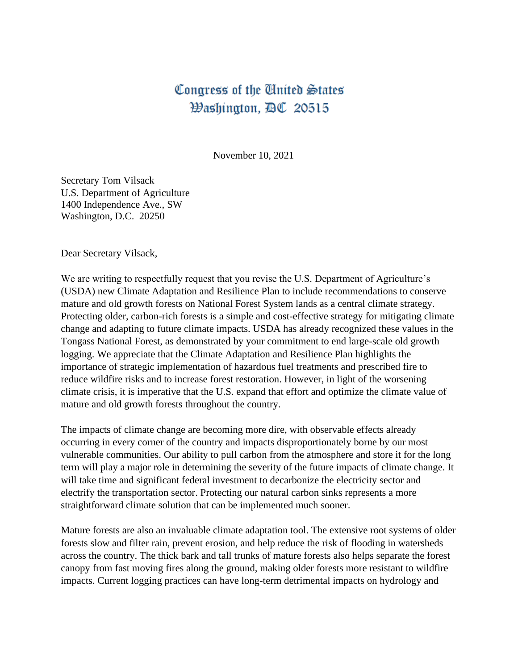## Congress of the United States Washington, DC 20515

November 10, 2021

Secretary Tom Vilsack U.S. Department of Agriculture 1400 Independence Ave., SW Washington, D.C. 20250

Dear Secretary Vilsack,

We are writing to respectfully request that you revise the U.S. Department of Agriculture's (USDA) new Climate Adaptation and Resilience Plan to include recommendations to conserve mature and old growth forests on National Forest System lands as a central climate strategy. Protecting older, carbon-rich forests is a simple and cost-effective strategy for mitigating climate change and adapting to future climate impacts. USDA has already recognized these values in the Tongass National Forest, as demonstrated by your commitment to end large-scale old growth logging. We appreciate that the Climate Adaptation and Resilience Plan highlights the importance of strategic implementation of hazardous fuel treatments and prescribed fire to reduce wildfire risks and to increase forest restoration. However, in light of the worsening climate crisis, it is imperative that the U.S. expand that effort and optimize the climate value of mature and old growth forests throughout the country.

The impacts of climate change are becoming more dire, with observable effects already occurring in every corner of the country and impacts disproportionately borne by our most vulnerable communities. Our ability to pull carbon from the atmosphere and store it for the long term will play a major role in determining the severity of the future impacts of climate change. It will take time and significant federal investment to decarbonize the electricity sector and electrify the transportation sector. Protecting our natural carbon sinks represents a more straightforward climate solution that can be implemented much sooner.

Mature forests are also an invaluable climate adaptation tool. The extensive root systems of older forests slow and filter rain, prevent erosion, and help reduce the risk of flooding in watersheds across the country. The thick bark and tall trunks of mature forests also helps separate the forest canopy from fast moving fires along the ground, making older forests more resistant to wildfire impacts. Current logging practices can have long-term detrimental impacts on hydrology and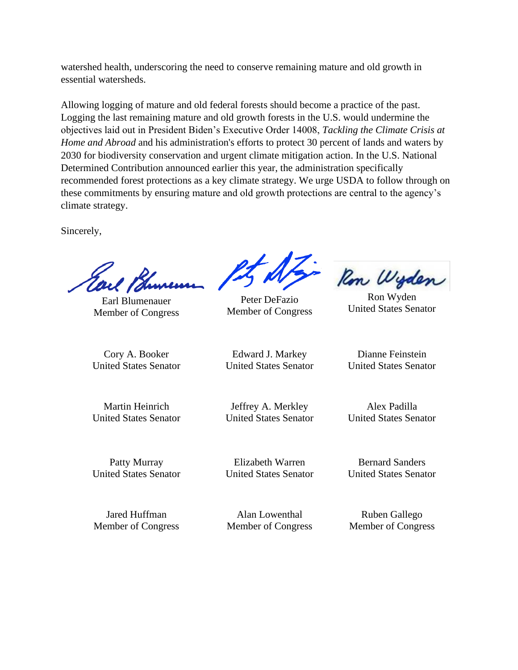watershed health, underscoring the need to conserve remaining mature and old growth in essential watersheds.

Allowing logging of mature and old federal forests should become a practice of the past. Logging the last remaining mature and old growth forests in the U.S. would undermine the objectives laid out in President Biden's Executive Order 14008, *Tackling the Climate Crisis at Home and Abroad* and his administration's efforts to protect 30 percent of lands and waters by 2030 for biodiversity conservation and urgent climate mitigation action. In the U.S. National Determined Contribution announced earlier this year, the administration specifically recommended forest protections as a key climate strategy. We urge USDA to follow through on these commitments by ensuring mature and old growth protections are central to the agency's climate strategy.

Sincerely,

Earl Blumenauer Member of Congress

Cory A. Booker United States Senator

Martin Heinrich United States Senator

Edward J. Markey United States Senator

Jeffrey A. Merkley United States Senator

Elizabeth Warren

United States Senator

Bernard Sanders United States Senator

Alan Lowenthal Member of Congress

Ruben Gallego Member of Congress

Dianne Feinstein United States Senator

Ron Wyden United States Senator

Alex Padilla United States Senator

Patty Murray United States Senator

Jared Huffman Member of Congress

Peter DeFazio

Ron Wyden

Member of Congress